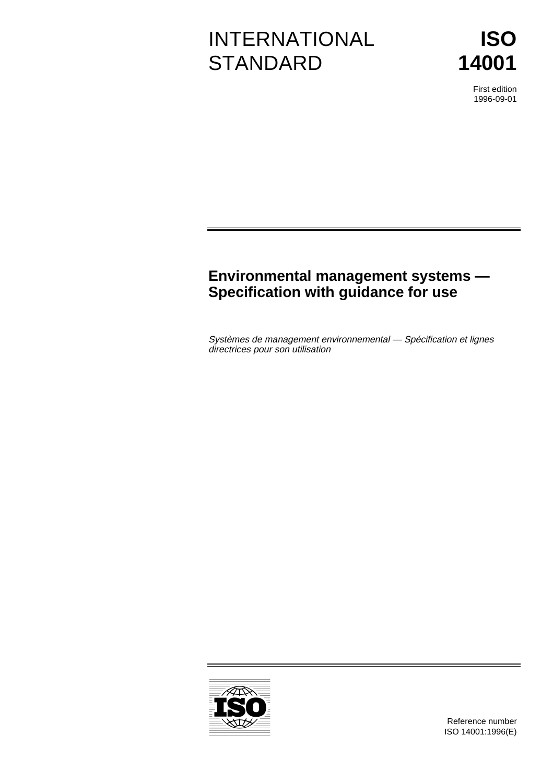# INTERNATIONAL **STANDARD**



First edition 1996-09-01

### **Environmental management systems — Specification with guidance for use**

Systèmes de management environnemental — Spécification et lignes directrices pour son utilisation



ISO 14001:1996(E)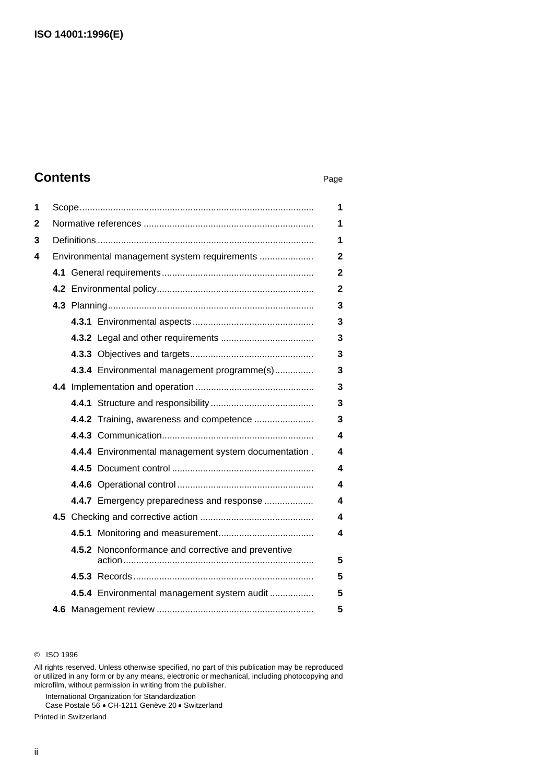### **Contents** Page

| 1 |                                              |  |                                                                      |  |  |  |  |
|---|----------------------------------------------|--|----------------------------------------------------------------------|--|--|--|--|
| 2 |                                              |  |                                                                      |  |  |  |  |
| 3 |                                              |  |                                                                      |  |  |  |  |
| 4 | Environmental management system requirements |  |                                                                      |  |  |  |  |
|   |                                              |  |                                                                      |  |  |  |  |
|   |                                              |  | $\overline{2}$                                                       |  |  |  |  |
|   |                                              |  | 3                                                                    |  |  |  |  |
|   |                                              |  | 3                                                                    |  |  |  |  |
|   |                                              |  | 3                                                                    |  |  |  |  |
|   |                                              |  | 3                                                                    |  |  |  |  |
|   |                                              |  | 4.3.4 Environmental management programme(s)<br>3                     |  |  |  |  |
|   |                                              |  |                                                                      |  |  |  |  |
|   |                                              |  | 3                                                                    |  |  |  |  |
|   |                                              |  | 3<br>4.4.2 Training, awareness and competence                        |  |  |  |  |
|   |                                              |  | $\overline{\mathbf{4}}$                                              |  |  |  |  |
|   |                                              |  | 4<br>4.4.4 Environmental management system documentation.            |  |  |  |  |
|   |                                              |  | 4                                                                    |  |  |  |  |
|   |                                              |  | $\overline{\mathbf{4}}$                                              |  |  |  |  |
|   |                                              |  | $\overline{\mathbf{4}}$<br>4.4.7 Emergency preparedness and response |  |  |  |  |
|   |                                              |  |                                                                      |  |  |  |  |
|   |                                              |  | $\overline{\mathbf{4}}$                                              |  |  |  |  |
|   |                                              |  | 4.5.2 Nonconformance and corrective and preventive<br>5              |  |  |  |  |
|   |                                              |  | 5                                                                    |  |  |  |  |
|   |                                              |  | 4.5.4 Environmental management system audit<br>5                     |  |  |  |  |
|   |                                              |  |                                                                      |  |  |  |  |

All rights reserved. Unless otherwise specified, no part of this publication may be reproduced or utilized in any form or by any means, electronic or mechanical, including photocopying and microfilm, without permission in writing from the publisher.

International Organization for Standardization

Case Postale 56 · CH-1211 Genève 20 · Switzerland

Printed in Switzerland

<sup>©</sup> ISO 1996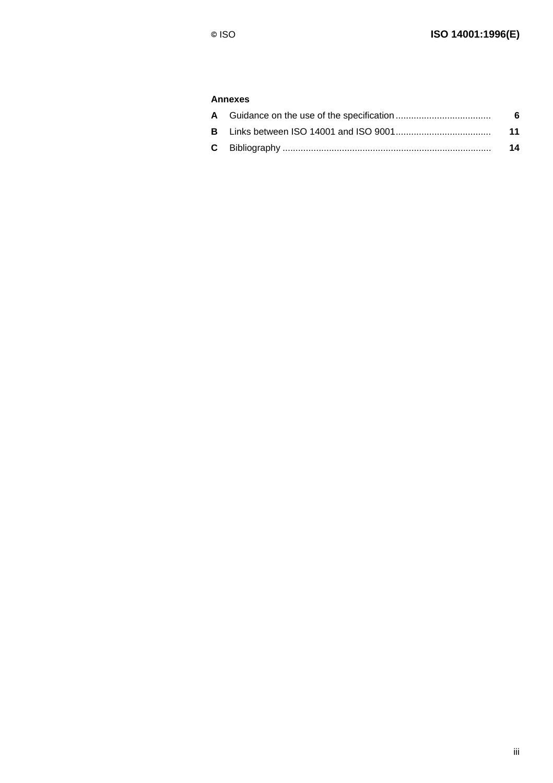#### **Annexes**

|  | - 6 |
|--|-----|
|  | -11 |
|  | 14  |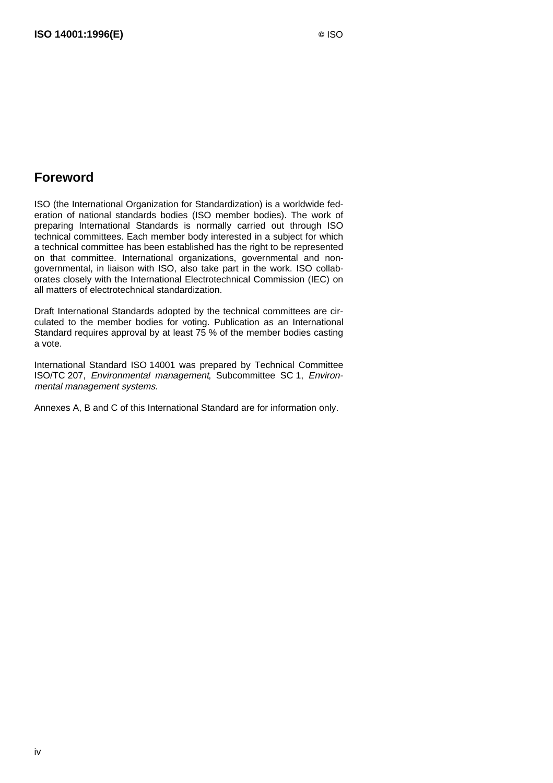### **Foreword**

ISO (the International Organization for Standardization) is a worldwide federation of national standards bodies (ISO member bodies). The work of preparing International Standards is normally carried out through ISO technical committees. Each member body interested in a subject for which a technical committee has been established has the right to be represented on that committee. International organizations, governmental and nongovernmental, in liaison with ISO, also take part in the work. ISO collaborates closely with the International Electrotechnical Commission (IEC) on all matters of electrotechnical standardization.

Draft International Standards adopted by the technical committees are circulated to the member bodies for voting. Publication as an International Standard requires approval by at least 75 % of the member bodies casting a vote.

International Standard ISO 14001 was prepared by Technical Committee ISO/TC 207, Environmental management, Subcommittee SC 1, Environmental management systems.

Annexes A, B and C of this International Standard are for information only.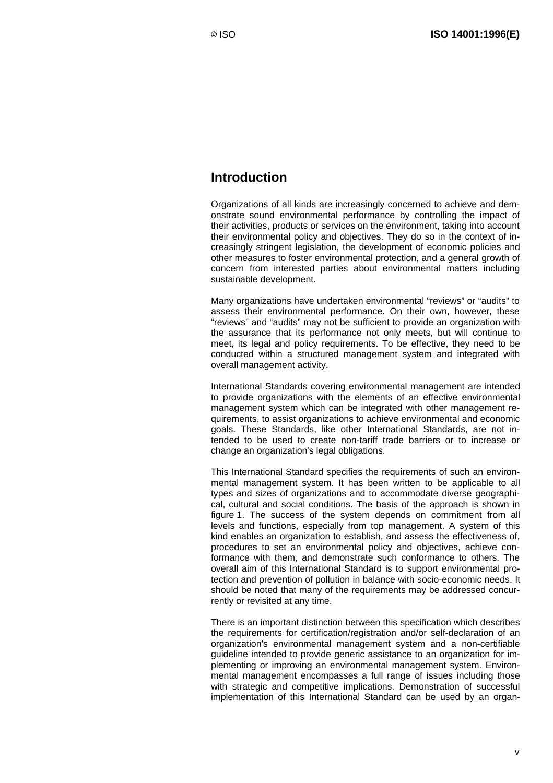### **Introduction**

Organizations of all kinds are increasingly concerned to achieve and demonstrate sound environmental performance by controlling the impact of their activities, products or services on the environment, taking into account their environmental policy and objectives. They do so in the context of increasingly stringent legislation, the development of economic policies and other measures to foster environmental protection, and a general growth of concern from interested parties about environmental matters including sustainable development.

Many organizations have undertaken environmental "reviews" or "audits" to assess their environmental performance. On their own, however, these "reviews" and "audits" may not be sufficient to provide an organization with the assurance that its performance not only meets, but will continue to meet, its legal and policy requirements. To be effective, they need to be conducted within a structured management system and integrated with overall management activity.

International Standards covering environmental management are intended to provide organizations with the elements of an effective environmental management system which can be integrated with other management requirements, to assist organizations to achieve environmental and economic goals. These Standards, like other International Standards, are not intended to be used to create non-tariff trade barriers or to increase or change an organization's legal obligations.

This International Standard specifies the requirements of such an environmental management system. It has been written to be applicable to all types and sizes of organizations and to accommodate diverse geographical, cultural and social conditions. The basis of the approach is shown in figure 1. The success of the system depends on commitment from all levels and functions, especially from top management. A system of this kind enables an organization to establish, and assess the effectiveness of, procedures to set an environmental policy and objectives, achieve conformance with them, and demonstrate such conformance to others. The overall aim of this International Standard is to support environmental protection and prevention of pollution in balance with socio-economic needs. It should be noted that many of the requirements may be addressed concurrently or revisited at any time.

There is an important distinction between this specification which describes the requirements for certification/registration and/or self-declaration of an organization's environmental management system and a non-certifiable guideline intended to provide generic assistance to an organization for implementing or improving an environmental management system. Environmental management encompasses a full range of issues including those with strategic and competitive implications. Demonstration of successful implementation of this International Standard can be used by an organ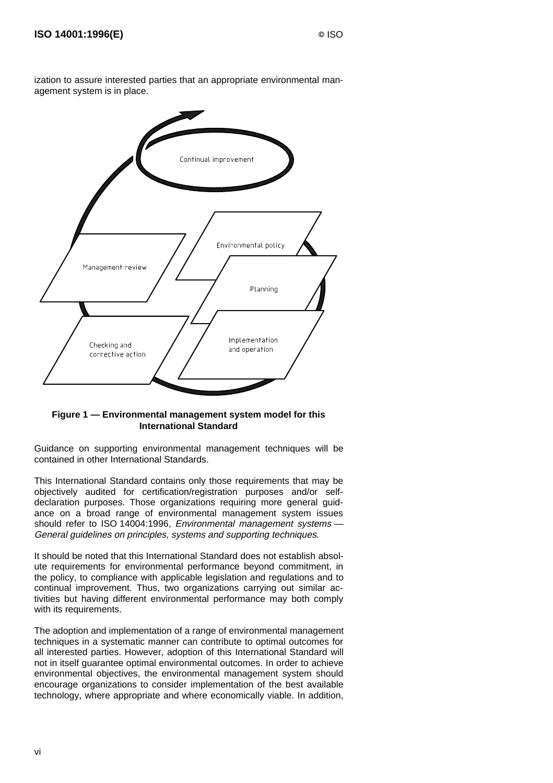ization to assure interested parties that an appropriate environmental management system is in place.



#### **Figure 1 — Environmental management system model for this International Standard**

Guidance on supporting environmental management techniques will be contained in other International Standards.

This International Standard contains only those requirements that may be objectively audited for certification/registration purposes and/or selfdeclaration purposes. Those organizations requiring more general guidance on a broad range of environmental management system issues should refer to ISO 14004:1996, Environmental management systems -General guidelines on principles, systems and supporting techniques.

It should be noted that this International Standard does not establish absolute requirements for environmental performance beyond commitment, in the policy, to compliance with applicable legislation and regulations and to continual improvement. Thus, two organizations carrying out similar activities but having different environmental performance may both comply with its requirements.

The adoption and implementation of a range of environmental management techniques in a systematic manner can contribute to optimal outcomes for all interested parties. However, adoption of this International Standard will not in itself guarantee optimal environmental outcomes. In order to achieve environmental objectives, the environmental management system should encourage organizations to consider implementation of the best available technology, where appropriate and where economically viable. In addition,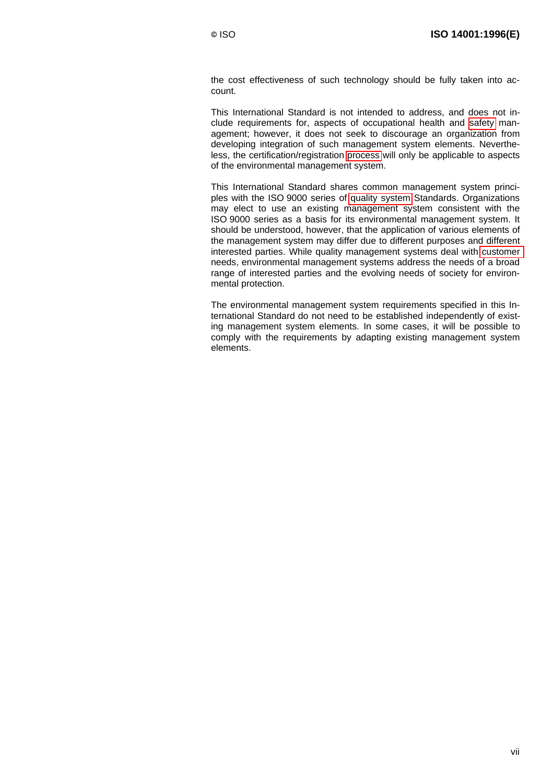the cost effectiveness of such technology should be fully taken into account.

This International Standard is not intended to address, and does not include requirements for, aspects of occupational health and safety management; however, it does not seek to discourage an organization from developing integration of such management system elements. Nevertheless, the certification/registration process will only be applicable to aspects of the environmental management system.

This International Standard shares common management system principles with the ISO 9000 series of quality system Standards. Organizations may elect to use an existing management system consistent with the ISO 9000 series as a basis for its environmental management system. It should be understood, however, that the application of various elements of the management system may differ due to different purposes and different interested parties. While quality management systems deal with customer needs, environmental management systems address the needs of a broad range of interested parties and the evolving needs of society for environmental protection.

The environmental management system requirements specified in this International Standard do not need to be established independently of existing management system elements. In some cases, it will be possible to comply with the requirements by adapting existing management system elements.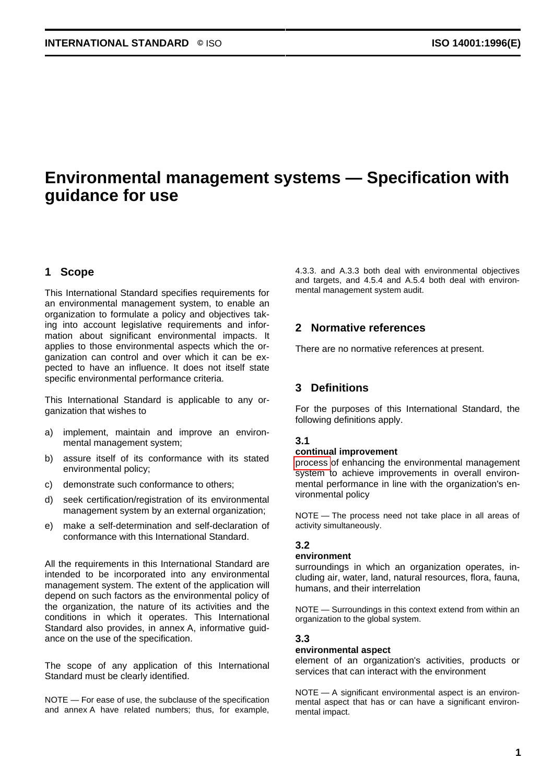## **Environmental management systems — Specification with guidance for use**

#### **1 Scope**

This International Standard specifies requirements for an environmental management system, to enable an organization to formulate a policy and objectives taking into account legislative requirements and information about significant environmental impacts. It applies to those environmental aspects which the organization can control and over which it can be expected to have an influence. It does not itself state specific environmental performance criteria.

This International Standard is applicable to any organization that wishes to

- a) implement, maintain and improve an environmental management system;
- b) assure itself of its conformance with its stated environmental policy;
- c) demonstrate such conformance to others;
- d) seek certification/registration of its environmental management system by an external organization;
- e) make a self-determination and self-declaration of conformance with this International Standard.

All the requirements in this International Standard are intended to be incorporated into any environmental management system. The extent of the application will depend on such factors as the environmental policy of the organization, the nature of its activities and the conditions in which it operates. This International Standard also provides, in annex A, informative guidance on the use of the specification.

The scope of any application of this International Standard must be clearly identified.

NOTE — For ease of use, the subclause of the specification and annex A have related numbers; thus, for example, 4.3.3. and A.3.3 both deal with environmental objectives and targets, and 4.5.4 and A.5.4 both deal with environmental management system audit.

#### **2 Normative references**

There are no normative references at present.

#### **3 Definitions**

For the purposes of this International Standard, the following definitions apply.

#### **3.1**

#### **continual improvement**

process of enhancing the environmental management system to achieve improvements in overall environmental performance in line with the organization's environmental policy

NOTE — The process need not take place in all areas of activity simultaneously.

#### **3.2**

#### **environment**

surroundings in which an organization operates, including air, water, land, natural resources, flora, fauna, humans, and their interrelation

NOTE — Surroundings in this context extend from within an organization to the global system.

#### **3.3**

#### **environmental aspect**

element of an organization's activities, products or services that can interact with the environment

NOTE – A significant environmental aspect is an environmental aspect that has or can have a significant environmental impact.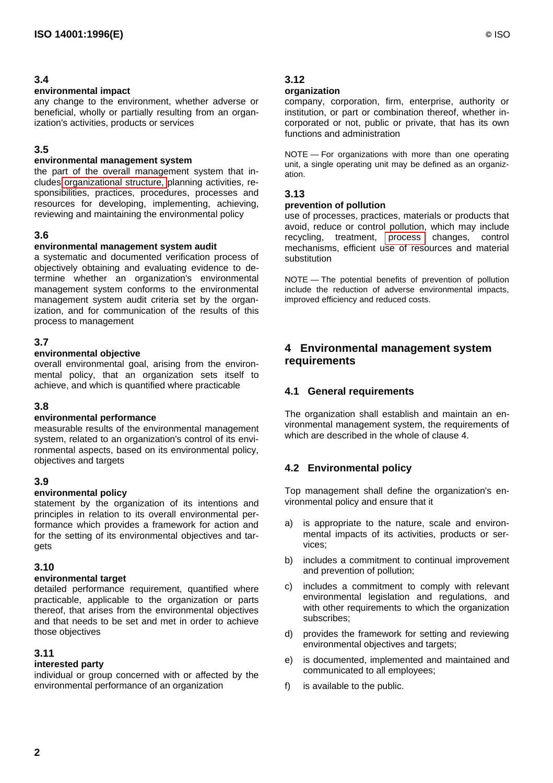#### **3.4**

#### **environmental impact**

any change to the environment, whether adverse or beneficial, wholly or partially resulting from an organization's activities, products or services

#### **3.5**

#### **environmental management system**

the part of the overall management system that includes organizational structure, planning activities, responsibilities, practices, procedures, processes and resources for developing, implementing, achieving, reviewing and maintaining the environmental policy

#### **3.6**

#### **environmental management system audit**

a systematic and documented verification process of objectively obtaining and evaluating evidence to determine whether an organization's environmental management system conforms to the environmental management system audit criteria set by the organization, and for communication of the results of this process to management

#### **3.7**

#### **environmental objective**

overall environmental goal, arising from the environmental policy, that an organization sets itself to achieve, and which is quantified where practicable

#### **3.8**

#### **environmental performance**

measurable results of the environmental management system, related to an organization's control of its environmental aspects, based on its environmental policy, objectives and targets

#### **3.9**

#### **environmental policy**

statement by the organization of its intentions and principles in relation to its overall environmental performance which provides a framework for action and for the setting of its environmental objectives and targets

#### **3.10**

#### **environmental target**

detailed performance requirement, quantified where practicable, applicable to the organization or parts thereof, that arises from the environmental objectives and that needs to be set and met in order to achieve those objectives

#### **3.11**

#### **interested party**

individual or group concerned with or affected by the environmental performance of an organization

### **3.12**

#### **organization**

company, corporation, firm, enterprise, authority or institution, or part or combination thereof, whether incorporated or not, public or private, that has its own functions and administration

NOTE — For organizations with more than one operating unit, a single operating unit may be defined as an organization.

#### **3.13**

#### **prevention of pollution**

use of processes, practices, materials or products that avoid, reduce or control pollution, which may include recycling, treatment, process changes, control mechanisms, efficient use of resources and material substitution

NOTE — The potential benefits of prevention of pollution include the reduction of adverse environmental impacts, improved efficiency and reduced costs.

#### **4 Environmental management system requirements**

#### **4.1 General requirements**

The organization shall establish and maintain an environmental management system, the requirements of which are described in the whole of clause 4.

#### **4.2 Environmental policy**

Top management shall define the organization's environmental policy and ensure that it

- a) is appropriate to the nature, scale and environmental impacts of its activities, products or services;
- b) includes a commitment to continual improvement and prevention of pollution;
- c) includes a commitment to comply with relevant environmental legislation and regulations, and with other requirements to which the organization subscribes;
- d) provides the framework for setting and reviewing environmental objectives and targets;
- e) is documented, implemented and maintained and communicated to all employees;
- f) is available to the public.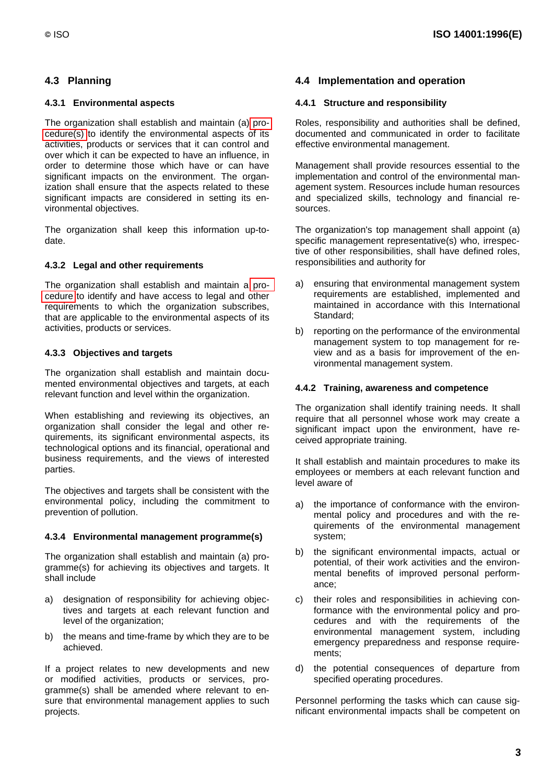#### **4.3 Planning**

#### **4.3.1 Environmental aspects**

The organization shall establish and maintain (a) procedure(s) to identify the environmental aspects of its activities, products or services that it can control and over which it can be expected to have an influence, in order to determine those which have or can have significant impacts on the environment. The organization shall ensure that the aspects related to these significant impacts are considered in setting its environmental objectives.

The organization shall keep this information up-todate.

#### **4.3.2 Legal and other requirements**

The organization shall establish and maintain a procedure to identify and have access to legal and other requirements to which the organization subscribes, that are applicable to the environmental aspects of its activities, products or services.

#### **4.3.3 Objectives and targets**

The organization shall establish and maintain documented environmental objectives and targets, at each relevant function and level within the organization.

When establishing and reviewing its objectives, an organization shall consider the legal and other requirements, its significant environmental aspects, its technological options and its financial, operational and business requirements, and the views of interested parties.

The objectives and targets shall be consistent with the environmental policy, including the commitment to prevention of pollution.

#### **4.3.4 Environmental management programme(s)**

The organization shall establish and maintain (a) programme(s) for achieving its objectives and targets. It shall include

- a) designation of responsibility for achieving objectives and targets at each relevant function and level of the organization;
- b) the means and time-frame by which they are to be achieved.

If a project relates to new developments and new or modified activities, products or services, programme(s) shall be amended where relevant to ensure that environmental management applies to such projects.

#### **4.4 Implementation and operation**

#### **4.4.1 Structure and responsibility**

Roles, responsibility and authorities shall be defined, documented and communicated in order to facilitate effective environmental management.

Management shall provide resources essential to the implementation and control of the environmental management system. Resources include human resources and specialized skills, technology and financial resources.

The organization's top management shall appoint (a) specific management representative(s) who, irrespective of other responsibilities, shall have defined roles, responsibilities and authority for

- a) ensuring that environmental management system requirements are established, implemented and maintained in accordance with this International Standard;
- b) reporting on the performance of the environmental management system to top management for review and as a basis for improvement of the environmental management system.

#### **4.4.2 Training, awareness and competence**

The organization shall identify training needs. It shall require that all personnel whose work may create a significant impact upon the environment, have received appropriate training.

It shall establish and maintain procedures to make its employees or members at each relevant function and level aware of

- a) the importance of conformance with the environmental policy and procedures and with the requirements of the environmental management system;
- b) the significant environmental impacts, actual or potential, of their work activities and the environmental benefits of improved personal performance;
- c) their roles and responsibilities in achieving conformance with the environmental policy and procedures and with the requirements of the environmental management system, including emergency preparedness and response requirements;
- d) the potential consequences of departure from specified operating procedures.

Personnel performing the tasks which can cause significant environmental impacts shall be competent on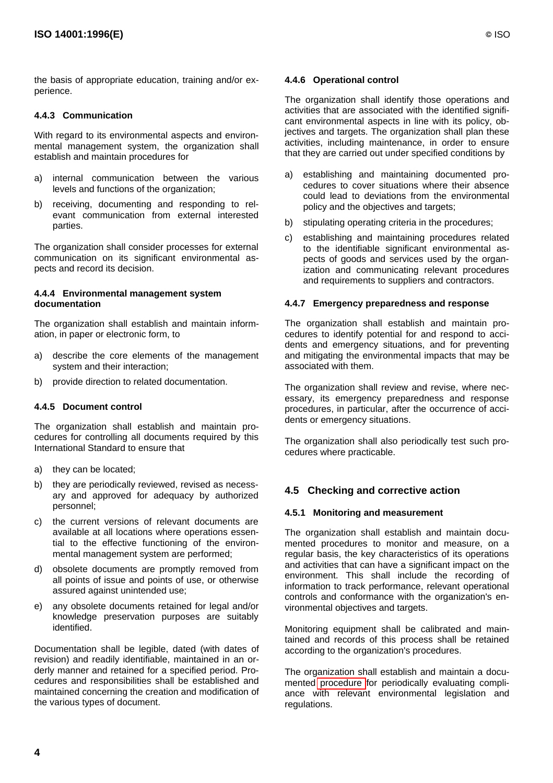the basis of appropriate education, training and/or experience.

#### **4.4.3 Communication**

With regard to its environmental aspects and environmental management system, the organization shall establish and maintain procedures for

- a) internal communication between the various levels and functions of the organization;
- b) receiving, documenting and responding to relevant communication from external interested parties.

The organization shall consider processes for external communication on its significant environmental aspects and record its decision.

#### **4.4.4 Environmental management system documentation**

The organization shall establish and maintain information, in paper or electronic form, to

- a) describe the core elements of the management system and their interaction;
- b) provide direction to related documentation.

#### **4.4.5 Document control**

The organization shall establish and maintain procedures for controlling all documents required by this International Standard to ensure that

- a) they can be located;
- b) they are periodically reviewed, revised as necessary and approved for adequacy by authorized personnel;
- c) the current versions of relevant documents are available at all locations where operations essential to the effective functioning of the environmental management system are performed;
- d) obsolete documents are promptly removed from all points of issue and points of use, or otherwise assured against unintended use;
- e) any obsolete documents retained for legal and/or knowledge preservation purposes are suitably identified.

Documentation shall be legible, dated (with dates of revision) and readily identifiable, maintained in an orderly manner and retained for a specified period. Procedures and responsibilities shall be established and maintained concerning the creation and modification of the various types of document.

#### **4.4.6 Operational control**

The organization shall identify those operations and activities that are associated with the identified significant environmental aspects in line with its policy, objectives and targets. The organization shall plan these activities, including maintenance, in order to ensure that they are carried out under specified conditions by

- a) establishing and maintaining documented procedures to cover situations where their absence could lead to deviations from the environmental policy and the objectives and targets;
- b) stipulating operating criteria in the procedures;
- c) establishing and maintaining procedures related to the identifiable significant environmental aspects of goods and services used by the organization and communicating relevant procedures and requirements to suppliers and contractors.

#### **4.4.7 Emergency preparedness and response**

The organization shall establish and maintain procedures to identify potential for and respond to accidents and emergency situations, and for preventing and mitigating the environmental impacts that may be associated with them.

The organization shall review and revise, where necessary, its emergency preparedness and response procedures, in particular, after the occurrence of accidents or emergency situations.

The organization shall also periodically test such procedures where practicable.

#### **4.5 Checking and corrective action**

#### **4.5.1 Monitoring and measurement**

The organization shall establish and maintain documented procedures to monitor and measure, on a regular basis, the key characteristics of its operations and activities that can have a significant impact on the environment. This shall include the recording of information to track performance, relevant operational controls and conformance with the organization's environmental objectives and targets.

Monitoring equipment shall be calibrated and maintained and records of this process shall be retained according to the organization's procedures.

The organization shall establish and maintain a documented procedure for periodically evaluating compliance with relevant environmental legislation and regulations.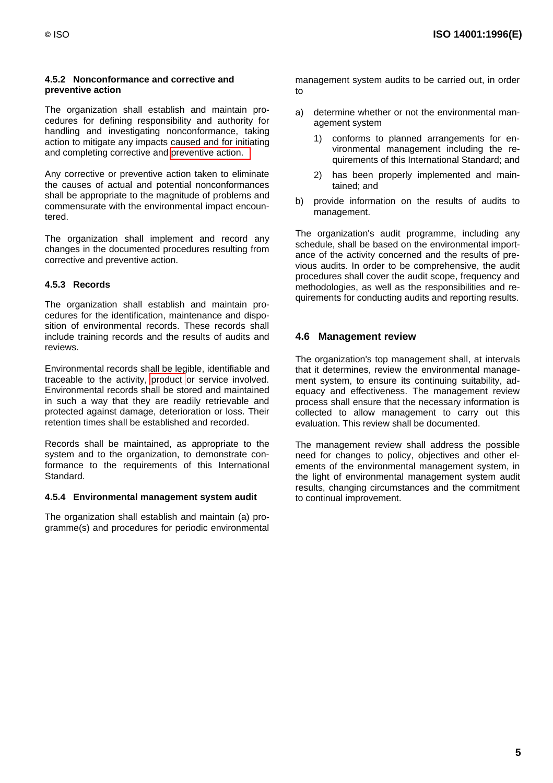#### **4.5.2 Nonconformance and corrective and preventive action**

The organization shall establish and maintain procedures for defining responsibility and authority for handling and investigating nonconformance, taking action to mitigate any impacts caused and for initiating and completing corrective and preventive action.

Any corrective or preventive action taken to eliminate the causes of actual and potential nonconformances shall be appropriate to the magnitude of problems and commensurate with the environmental impact encountered.

The organization shall implement and record any changes in the documented procedures resulting from corrective and preventive action.

#### **4.5.3 Records**

The organization shall establish and maintain procedures for the identification, maintenance and disposition of environmental records. These records shall include training records and the results of audits and reviews.

Environmental records shall be legible, identifiable and traceable to the activity, product or service involved. Environmental records shall be stored and maintained in such a way that they are readily retrievable and protected against damage, deterioration or loss. Their retention times shall be established and recorded.

Records shall be maintained, as appropriate to the system and to the organization, to demonstrate conformance to the requirements of this International Standard.

#### **4.5.4 Environmental management system audit**

The organization shall establish and maintain (a) programme(s) and procedures for periodic environmental management system audits to be carried out, in order to

- a) determine whether or not the environmental management system
	- 1) conforms to planned arrangements for environmental management including the requirements of this International Standard; and
	- 2) has been properly implemented and maintained; and
- b) provide information on the results of audits to management.

The organization's audit programme, including any schedule, shall be based on the environmental importance of the activity concerned and the results of previous audits. In order to be comprehensive, the audit procedures shall cover the audit scope, frequency and methodologies, as well as the responsibilities and requirements for conducting audits and reporting results.

#### **4.6 Management review**

The organization's top management shall, at intervals that it determines, review the environmental management system, to ensure its continuing suitability, adequacy and effectiveness. The management review process shall ensure that the necessary information is collected to allow management to carry out this evaluation. This review shall be documented.

The management review shall address the possible need for changes to policy, objectives and other elements of the environmental management system, in the light of environmental management system audit results, changing circumstances and the commitment to continual improvement.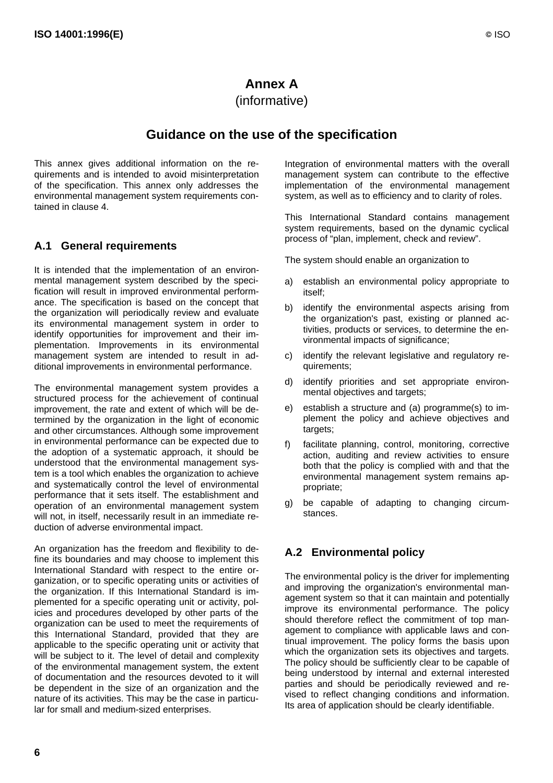### **Annex A**

### (informative)

### **Guidance on the use of the specification**

This annex gives additional information on the requirements and is intended to avoid misinterpretation of the specification. This annex only addresses the environmental management system requirements contained in clause 4.

### **A.1 General requirements**

It is intended that the implementation of an environmental management system described by the specification will result in improved environmental performance. The specification is based on the concept that the organization will periodically review and evaluate its environmental management system in order to identify opportunities for improvement and their implementation. Improvements in its environmental management system are intended to result in additional improvements in environmental performance.

The environmental management system provides a structured process for the achievement of continual improvement, the rate and extent of which will be determined by the organization in the light of economic and other circumstances. Although some improvement in environmental performance can be expected due to the adoption of a systematic approach, it should be understood that the environmental management system is a tool which enables the organization to achieve and systematically control the level of environmental performance that it sets itself. The establishment and operation of an environmental management system will not, in itself, necessarily result in an immediate reduction of adverse environmental impact.

An organization has the freedom and flexibility to define its boundaries and may choose to implement this International Standard with respect to the entire organization, or to specific operating units or activities of the organization. If this International Standard is implemented for a specific operating unit or activity, policies and procedures developed by other parts of the organization can be used to meet the requirements of this International Standard, provided that they are applicable to the specific operating unit or activity that will be subject to it. The level of detail and complexity of the environmental management system, the extent of documentation and the resources devoted to it will be dependent in the size of an organization and the nature of its activities. This may be the case in particular for small and medium-sized enterprises.

Integration of environmental matters with the overall management system can contribute to the effective implementation of the environmental management system, as well as to efficiency and to clarity of roles.

This International Standard contains management system requirements, based on the dynamic cyclical process of "plan, implement, check and review".

The system should enable an organization to

- a) establish an environmental policy appropriate to itself;
- b) identify the environmental aspects arising from the organization's past, existing or planned activities, products or services, to determine the environmental impacts of significance;
- c) identify the relevant legislative and regulatory requirements;
- d) identify priorities and set appropriate environmental objectives and targets;
- e) establish a structure and (a) programme(s) to implement the policy and achieve objectives and targets;
- f) facilitate planning, control, monitoring, corrective action, auditing and review activities to ensure both that the policy is complied with and that the environmental management system remains appropriate;
- g) be capable of adapting to changing circumstances.

### **A.2 Environmental policy**

The environmental policy is the driver for implementing and improving the organization's environmental management system so that it can maintain and potentially improve its environmental performance. The policy should therefore reflect the commitment of top management to compliance with applicable laws and continual improvement. The policy forms the basis upon which the organization sets its objectives and targets. The policy should be sufficiently clear to be capable of being understood by internal and external interested parties and should be periodically reviewed and revised to reflect changing conditions and information. Its area of application should be clearly identifiable.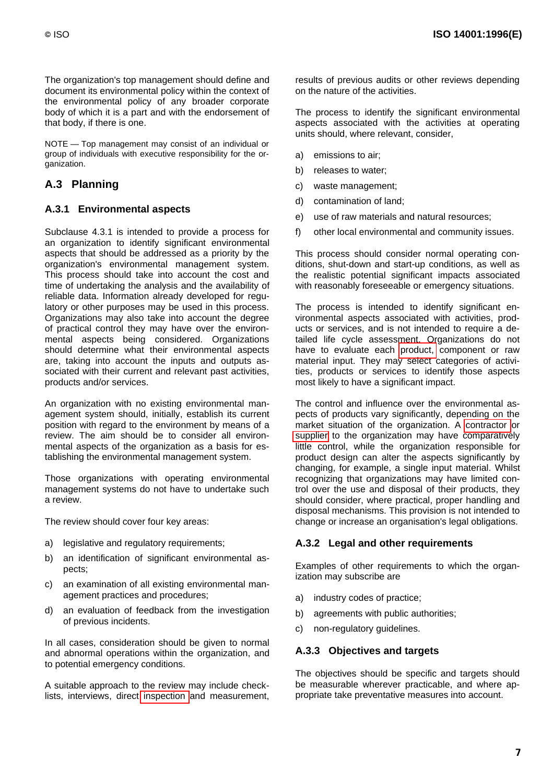The organization's top management should define and document its environmental policy within the context of the environmental policy of any broader corporate body of which it is a part and with the endorsement of that body, if there is one.

NOTE — Top management may consist of an individual or group of individuals with executive responsibility for the organization.

### **A.3 Planning**

#### **A.3.1 Environmental aspects**

Subclause 4.3.1 is intended to provide a process for an organization to identify significant environmental aspects that should be addressed as a priority by the organization's environmental management system. This process should take into account the cost and time of undertaking the analysis and the availability of reliable data. Information already developed for regulatory or other purposes may be used in this process. Organizations may also take into account the degree of practical control they may have over the environmental aspects being considered. Organizations should determine what their environmental aspects are, taking into account the inputs and outputs associated with their current and relevant past activities, products and/or services.

An organization with no existing environmental management system should, initially, establish its current position with regard to the environment by means of a review. The aim should be to consider all environmental aspects of the organization as a basis for establishing the environmental management system.

Those organizations with operating environmental management systems do not have to undertake such a review.

The review should cover four key areas:

- a) legislative and regulatory requirements;
- b) an identification of significant environmental aspects;
- c) an examination of all existing environmental management practices and procedures;
- d) an evaluation of feedback from the investigation of previous incidents.

In all cases, consideration should be given to normal and abnormal operations within the organization, and to potential emergency conditions.

A suitable approach to the review may include checklists, interviews, direct inspection and measurement, results of previous audits or other reviews depending on the nature of the activities.

The process to identify the significant environmental aspects associated with the activities at operating units should, where relevant, consider,

- a) emissions to air;
- b) releases to water;
- c) waste management;
- d) contamination of land;
- e) use of raw materials and natural resources;
- f) other local environmental and community issues.

This process should consider normal operating conditions, shut-down and start-up conditions, as well as the realistic potential significant impacts associated with reasonably foreseeable or emergency situations.

The process is intended to identify significant environmental aspects associated with activities, products or services, and is not intended to require a detailed life cycle assessment. Organizations do not have to evaluate each product, component or raw material input. They may select categories of activities, products or services to identify those aspects most likely to have a significant impact.

The control and influence over the environmental aspects of products vary significantly, depending on the market situation of the organization. A contractor or supplier to the organization may have comparatively little control, while the organization responsible for product design can alter the aspects significantly by changing, for example, a single input material. Whilst recognizing that organizations may have limited control over the use and disposal of their products, they should consider, where practical, proper handling and disposal mechanisms. This provision is not intended to change or increase an organisation's legal obligations.

#### **A.3.2 Legal and other requirements**

Examples of other requirements to which the organization may subscribe are

- a) industry codes of practice;
- b) agreements with public authorities;
- c) non-regulatory guidelines.

#### **A.3.3 Objectives and targets**

The objectives should be specific and targets should be measurable wherever practicable, and where appropriate take preventative measures into account.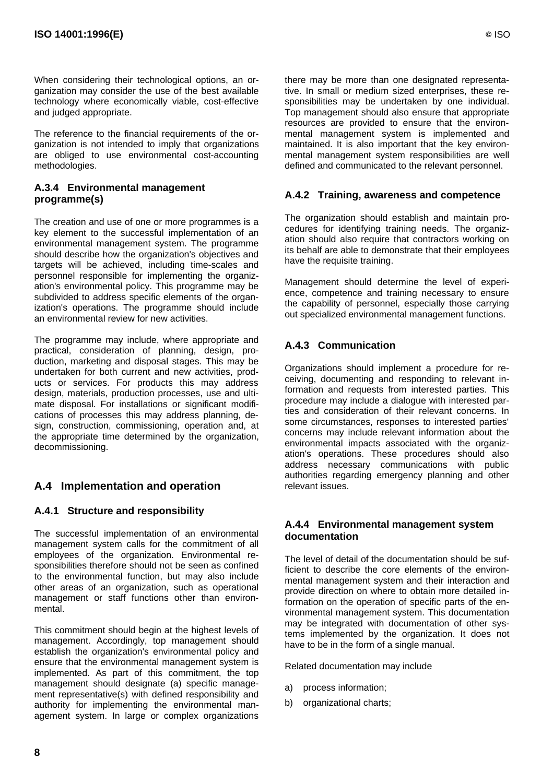When considering their technological options, an organization may consider the use of the best available technology where economically viable, cost-effective and judged appropriate.

The reference to the financial requirements of the organization is not intended to imply that organizations are obliged to use environmental cost-accounting methodologies.

#### **A.3.4 Environmental management programme(s)**

The creation and use of one or more programmes is a key element to the successful implementation of an environmental management system. The programme should describe how the organization's objectives and targets will be achieved, including time-scales and personnel responsible for implementing the organization's environmental policy. This programme may be subdivided to address specific elements of the organization's operations. The programme should include an environmental review for new activities.

The programme may include, where appropriate and practical, consideration of planning, design, production, marketing and disposal stages. This may be undertaken for both current and new activities, products or services. For products this may address design, materials, production processes, use and ultimate disposal. For installations or significant modifications of processes this may address planning, design, construction, commissioning, operation and, at the appropriate time determined by the organization, decommissioning.

### **A.4 Implementation and operation**

#### **A.4.1 Structure and responsibility**

The successful implementation of an environmental management system calls for the commitment of all employees of the organization. Environmental responsibilities therefore should not be seen as confined to the environmental function, but may also include other areas of an organization, such as operational management or staff functions other than environmental.

This commitment should begin at the highest levels of management. Accordingly, top management should establish the organization's environmental policy and ensure that the environmental management system is implemented. As part of this commitment, the top management should designate (a) specific management representative(s) with defined responsibility and authority for implementing the environmental management system. In large or complex organizations

there may be more than one designated representative. In small or medium sized enterprises, these responsibilities may be undertaken by one individual. Top management should also ensure that appropriate resources are provided to ensure that the environmental management system is implemented and maintained. It is also important that the key environmental management system responsibilities are well defined and communicated to the relevant personnel.

#### **A.4.2 Training, awareness and competence**

The organization should establish and maintain procedures for identifying training needs. The organization should also require that contractors working on its behalf are able to demonstrate that their employees have the requisite training.

Management should determine the level of experience, competence and training necessary to ensure the capability of personnel, especially those carrying out specialized environmental management functions.

#### **A.4.3 Communication**

Organizations should implement a procedure for receiving, documenting and responding to relevant information and requests from interested parties. This procedure may include a dialogue with interested parties and consideration of their relevant concerns. In some circumstances, responses to interested parties' concerns may include relevant information about the environmental impacts associated with the organization's operations. These procedures should also address necessary communications with public authorities regarding emergency planning and other relevant issues.

#### **A.4.4 Environmental management system documentation**

The level of detail of the documentation should be sufficient to describe the core elements of the environmental management system and their interaction and provide direction on where to obtain more detailed information on the operation of specific parts of the environmental management system. This documentation may be integrated with documentation of other systems implemented by the organization. It does not have to be in the form of a single manual.

Related documentation may include

- a) process information;
- b) organizational charts;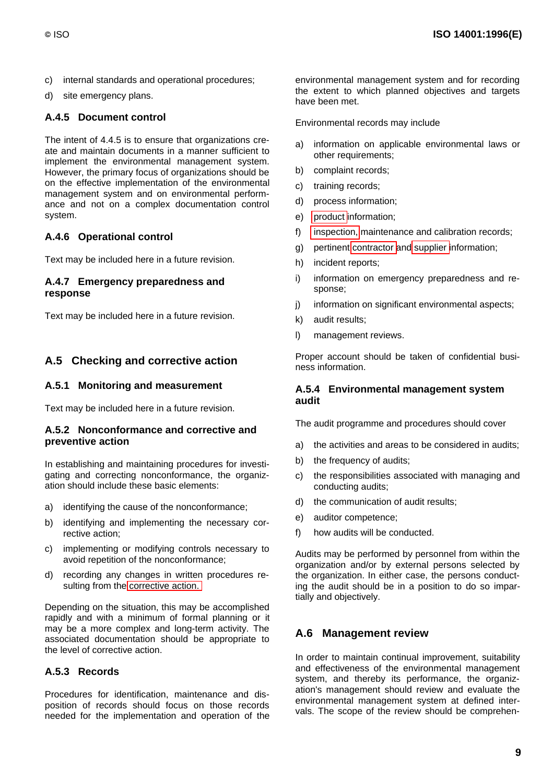- c) internal standards and operational procedures;
- d) site emergency plans.

#### **A.4.5 Document control**

The intent of 4.4.5 is to ensure that organizations create and maintain documents in a manner sufficient to implement the environmental management system. However, the primary focus of organizations should be on the effective implementation of the environmental management system and on environmental performance and not on a complex documentation control system.

#### **A.4.6 Operational control**

Text may be included here in a future revision.

#### **A.4.7 Emergency preparedness and response**

Text may be included here in a future revision.

### **A.5 Checking and corrective action**

#### **A.5.1 Monitoring and measurement**

Text may be included here in a future revision.

#### **A.5.2 Nonconformance and corrective and preventive action**

In establishing and maintaining procedures for investigating and correcting nonconformance, the organization should include these basic elements:

- a) identifying the cause of the nonconformance;
- b) identifying and implementing the necessary corrective action;
- c) implementing or modifying controls necessary to avoid repetition of the nonconformance;
- d) recording any changes in written procedures resulting from the corrective action.

Depending on the situation, this may be accomplished rapidly and with a minimum of formal planning or it may be a more complex and long-term activity. The associated documentation should be appropriate to the level of corrective action.

#### **A.5.3 Records**

Procedures for identification, maintenance and disposition of records should focus on those records needed for the implementation and operation of the environmental management system and for recording the extent to which planned objectives and targets have been met.

Environmental records may include

- a) information on applicable environmental laws or other requirements;
- b) complaint records;
- c) training records;
- d) process information;
- e) product information;
- f) inspection, maintenance and calibration records;
- g) pertinent contractor and supplier information;
- h) incident reports;
- i) information on emergency preparedness and response;
- j) information on significant environmental aspects;
- k) audit results;
- l) management reviews.

Proper account should be taken of confidential business information.

#### **A.5.4 Environmental management system audit**

The audit programme and procedures should cover

- a) the activities and areas to be considered in audits;
- b) the frequency of audits;
- c) the responsibilities associated with managing and conducting audits;
- d) the communication of audit results;
- e) auditor competence;
- f) how audits will be conducted.

Audits may be performed by personnel from within the organization and/or by external persons selected by the organization. In either case, the persons conducting the audit should be in a position to do so impartially and objectively.

### **A.6 Management review**

In order to maintain continual improvement, suitability and effectiveness of the environmental management system, and thereby its performance, the organization's management should review and evaluate the environmental management system at defined intervals. The scope of the review should be comprehen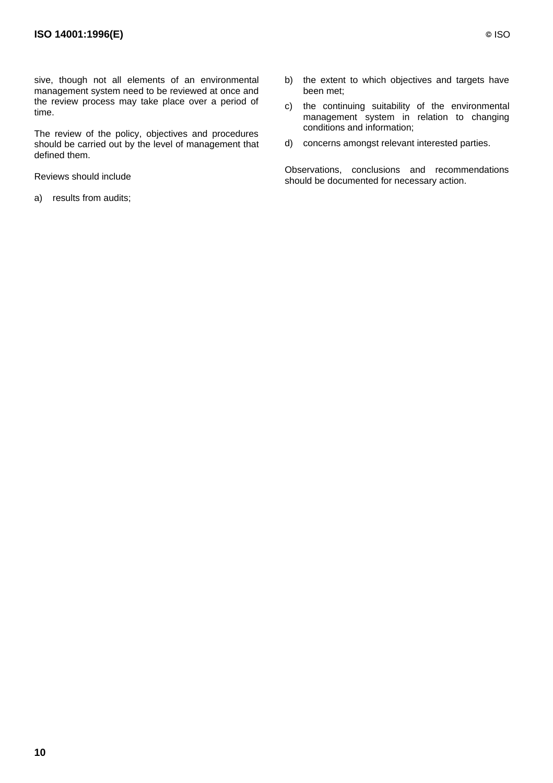sive, though not all elements of an environmental management system need to be reviewed at once and the review process may take place over a period of time.

The review of the policy, objectives and procedures should be carried out by the level of management that defined them.

Reviews should include

a) results from audits;

- b) the extent to which objectives and targets have been met;
- c) the continuing suitability of the environmental management system in relation to changing conditions and information;
- d) concerns amongst relevant interested parties.

Observations, conclusions and recommendations should be documented for necessary action.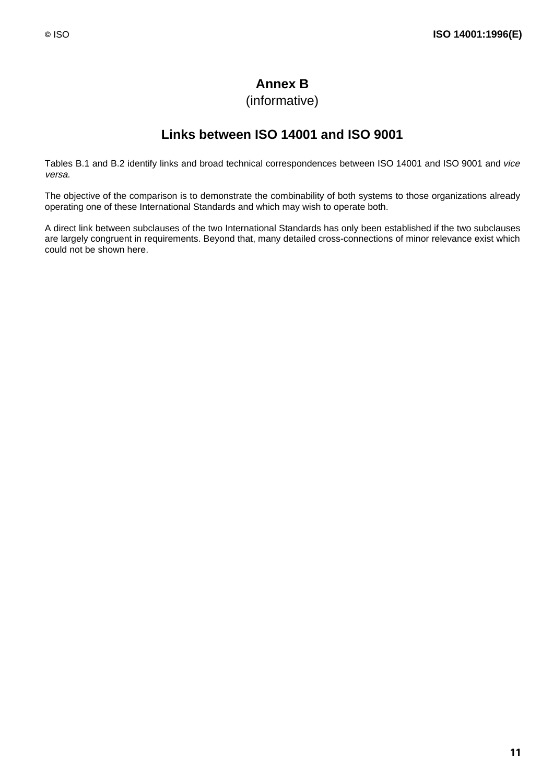### **Annex B**

(informative)

### **Links between ISO 14001 and ISO 9001**

Tables B.1 and B.2 identify links and broad technical correspondences between ISO 14001 and ISO 9001 and vice versa.

The objective of the comparison is to demonstrate the combinability of both systems to those organizations already operating one of these International Standards and which may wish to operate both.

A direct link between subclauses of the two International Standards has only been established if the two subclauses are largely congruent in requirements. Beyond that, many detailed cross-connections of minor relevance exist which could not be shown here.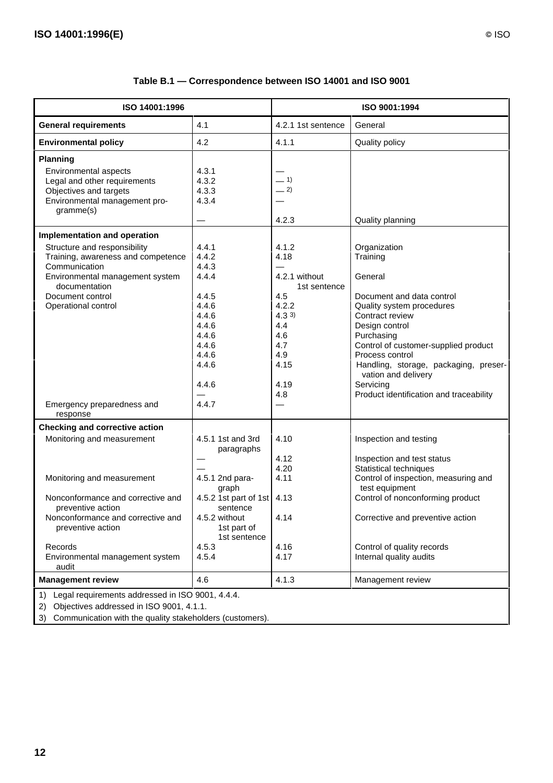| ISO 14001:1996                                                                                           |                                   | ISO 9001:1994            |                                                              |  |  |  |
|----------------------------------------------------------------------------------------------------------|-----------------------------------|--------------------------|--------------------------------------------------------------|--|--|--|
| <b>General requirements</b>                                                                              | 4.1                               | 4.2.1 1st sentence       | General                                                      |  |  |  |
| <b>Environmental policy</b>                                                                              | 4.2                               | 4.1.1                    | Quality policy                                               |  |  |  |
| <b>Planning</b>                                                                                          |                                   |                          |                                                              |  |  |  |
| Environmental aspects                                                                                    | 4.3.1                             |                          |                                                              |  |  |  |
| Legal and other requirements                                                                             | 4.3.2                             | $-1$                     |                                                              |  |  |  |
| Objectives and targets                                                                                   | 4.3.3                             | $-2)$                    |                                                              |  |  |  |
| Environmental management pro-                                                                            | 4.3.4                             |                          |                                                              |  |  |  |
| gramme(s)                                                                                                |                                   |                          |                                                              |  |  |  |
|                                                                                                          |                                   | 4.2.3                    | Quality planning                                             |  |  |  |
| Implementation and operation                                                                             |                                   |                          |                                                              |  |  |  |
| Structure and responsibility                                                                             | 4.4.1                             | 4.1.2                    | Organization                                                 |  |  |  |
| Training, awareness and competence                                                                       | 4.4.2                             | 4.18                     | Training                                                     |  |  |  |
| Communication                                                                                            | 4.4.3                             | $\overline{\phantom{0}}$ |                                                              |  |  |  |
| Environmental management system                                                                          | 4.4.4                             | 4.2.1 without            | General                                                      |  |  |  |
| documentation                                                                                            |                                   | 1st sentence             |                                                              |  |  |  |
| Document control                                                                                         | 4.4.5                             | 4.5                      | Document and data control                                    |  |  |  |
| Operational control                                                                                      | 4.4.6                             | 4.2.2                    | Quality system procedures                                    |  |  |  |
|                                                                                                          | 4.4.6                             | 4.33                     | Contract review                                              |  |  |  |
|                                                                                                          | 4.4.6                             | 4.4                      | Design control                                               |  |  |  |
|                                                                                                          | 4.4.6                             | 4.6                      | Purchasing                                                   |  |  |  |
|                                                                                                          | 4.4.6                             | 4.7                      | Control of customer-supplied product                         |  |  |  |
|                                                                                                          | 4.4.6                             | 4.9                      | Process control                                              |  |  |  |
|                                                                                                          | 4.4.6                             | 4.15                     | Handling, storage, packaging, preser-<br>vation and delivery |  |  |  |
|                                                                                                          | 4.4.6                             | 4.19                     | Servicing                                                    |  |  |  |
|                                                                                                          |                                   | 4.8                      | Product identification and traceability                      |  |  |  |
| Emergency preparedness and<br>response                                                                   | 4.4.7                             |                          |                                                              |  |  |  |
| <b>Checking and corrective action</b>                                                                    |                                   |                          |                                                              |  |  |  |
| Monitoring and measurement                                                                               | 4.5.1 1st and 3rd<br>paragraphs   | 4.10                     | Inspection and testing                                       |  |  |  |
|                                                                                                          |                                   | 4.12                     | Inspection and test status                                   |  |  |  |
|                                                                                                          |                                   | 4.20                     | <b>Statistical techniques</b>                                |  |  |  |
| Monitoring and measurement                                                                               | 4.5.1 2nd para-                   | 4.11                     | Control of inspection, measuring and                         |  |  |  |
|                                                                                                          | graph                             |                          | test equipment                                               |  |  |  |
| Nonconformance and corrective and<br>preventive action                                                   | 4.5.2 1st part of 1st<br>sentence | 4.13                     | Control of nonconforming product                             |  |  |  |
| Nonconformance and corrective and                                                                        | 4.5.2 without                     | 4.14                     | Corrective and preventive action                             |  |  |  |
| preventive action                                                                                        | 1st part of                       |                          |                                                              |  |  |  |
|                                                                                                          | 1st sentence                      |                          |                                                              |  |  |  |
| Records                                                                                                  | 4.5.3                             | 4.16                     | Control of quality records                                   |  |  |  |
| Environmental management system<br>audit                                                                 | 4.5.4                             | 4.17                     | Internal quality audits                                      |  |  |  |
| <b>Management review</b>                                                                                 | 4.6                               | 4.1.3                    | Management review                                            |  |  |  |
| Legal requirements addressed in ISO 9001, 4.4.4.<br>1)<br>Objectives addressed in ISO 9001, 4.1.1.<br>2) |                                   |                          |                                                              |  |  |  |
| Communication with the quality stakeholders (customers).<br>3)                                           |                                   |                          |                                                              |  |  |  |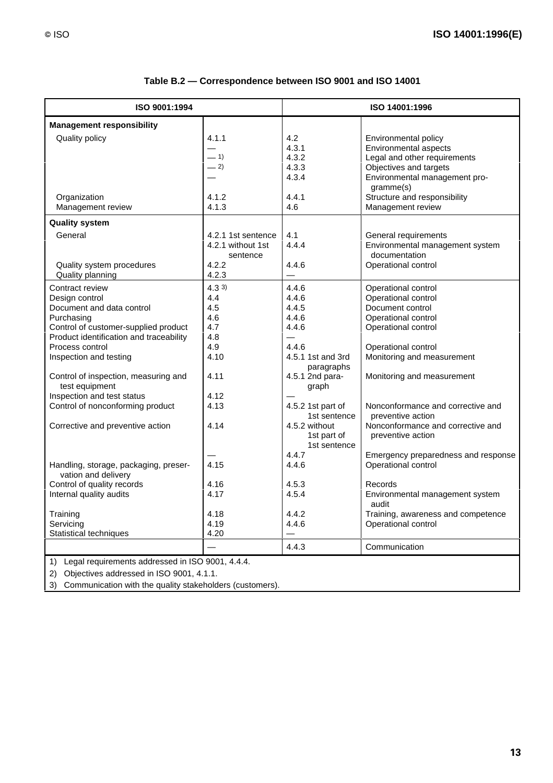| ISO 9001:1994                                                                                                                                                                                                |                                                         | ISO 14001:1996                                                          |                                                                                                                                                                   |  |  |  |
|--------------------------------------------------------------------------------------------------------------------------------------------------------------------------------------------------------------|---------------------------------------------------------|-------------------------------------------------------------------------|-------------------------------------------------------------------------------------------------------------------------------------------------------------------|--|--|--|
| <b>Management responsibility</b>                                                                                                                                                                             |                                                         |                                                                         |                                                                                                                                                                   |  |  |  |
| Quality policy                                                                                                                                                                                               | 4.1.1<br>$-1$<br>$-2)$                                  | 4.2<br>4.3.1<br>4.3.2<br>4.3.3<br>4.3.4                                 | Environmental policy<br>Environmental aspects<br>Legal and other requirements<br>Objectives and targets<br>Environmental management pro-                          |  |  |  |
| Organization<br>Management review                                                                                                                                                                            | 4.1.2<br>4.1.3                                          | 4.4.1<br>4.6                                                            | gramme(s)<br>Structure and responsibility<br>Management review                                                                                                    |  |  |  |
| <b>Quality system</b>                                                                                                                                                                                        |                                                         |                                                                         |                                                                                                                                                                   |  |  |  |
| General                                                                                                                                                                                                      | 4.2.1 1st sentence<br>4.2.1 without 1st<br>sentence     | 4.1<br>4.4.4                                                            | General requirements<br>Environmental management system<br>documentation                                                                                          |  |  |  |
| Quality system procedures<br>Quality planning                                                                                                                                                                | 4.2.2<br>4.2.3                                          | 4.4.6                                                                   | Operational control                                                                                                                                               |  |  |  |
| Contract review<br>Design control<br>Document and data control<br>Purchasing<br>Control of customer-supplied product<br>Product identification and traceability<br>Process control<br>Inspection and testing | 4.33)<br>4.4<br>4.5<br>4.6<br>4.7<br>4.8<br>4.9<br>4.10 | 4.4.6<br>4.4.6<br>4.4.5<br>4.4.6<br>4.4.6<br>4.4.6<br>4.5.1 1st and 3rd | Operational control<br>Operational control<br>Document control<br>Operational control<br>Operational control<br>Operational control<br>Monitoring and measurement |  |  |  |
| Control of inspection, measuring and<br>test equipment                                                                                                                                                       | 4.11                                                    | paragraphs<br>4.5.1 2nd para-<br>graph                                  | Monitoring and measurement                                                                                                                                        |  |  |  |
| Inspection and test status<br>Control of nonconforming product                                                                                                                                               | 4.12<br>4.13                                            | 4.5.2 1st part of<br>1st sentence                                       | Nonconformance and corrective and<br>preventive action                                                                                                            |  |  |  |
| Corrective and preventive action                                                                                                                                                                             | 4.14                                                    | 4.5.2 without<br>1st part of<br>1st sentence                            | Nonconformance and corrective and<br>preventive action                                                                                                            |  |  |  |
| Handling, storage, packaging, preser-<br>vation and delivery                                                                                                                                                 | 4.15                                                    | 4.4.7<br>4.4.6                                                          | Emergency preparedness and response<br>Operational control                                                                                                        |  |  |  |
| Control of quality records                                                                                                                                                                                   | 4.16                                                    | 4.5.3                                                                   | Records                                                                                                                                                           |  |  |  |
| Internal quality audits                                                                                                                                                                                      | 4.17                                                    | 4.5.4                                                                   | Environmental management system<br>audit                                                                                                                          |  |  |  |
| Training                                                                                                                                                                                                     | 4.18                                                    | 4.4.2                                                                   | Training, awareness and competence                                                                                                                                |  |  |  |
| Servicing<br>Statistical techniques                                                                                                                                                                          | 4.19<br>4.20                                            | 4.4.6                                                                   | Operational control                                                                                                                                               |  |  |  |
|                                                                                                                                                                                                              |                                                         | 4.4.3                                                                   | Communication                                                                                                                                                     |  |  |  |
| 1) Legal requirements addressed in ISO 9001, 4.4.4.                                                                                                                                                          |                                                         |                                                                         |                                                                                                                                                                   |  |  |  |

#### **Table B.2 — Correspondence between ISO 9001 and ISO 14001**

2) Objectives addressed in ISO 9001, 4.1.1.

3) Communication with the quality stakeholders (customers).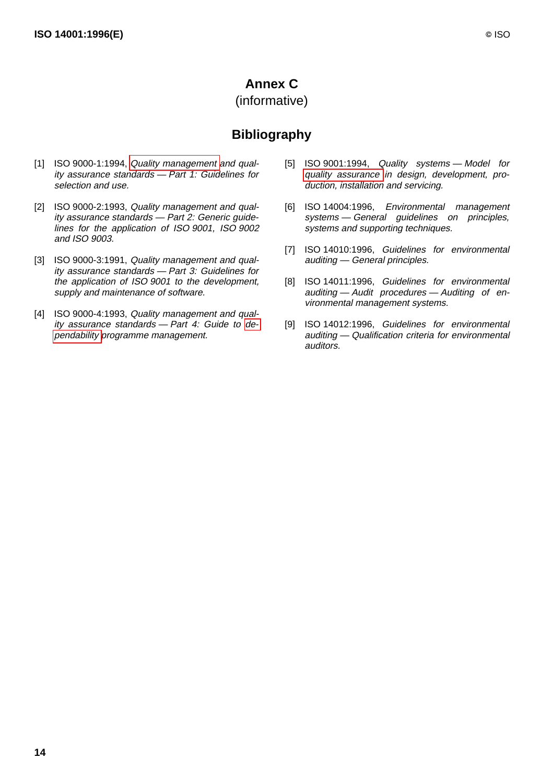### **Annex C**

### (informative)

### **Bibliography**

- [1] ISO 9000-1:1994, Quality management and quality assurance standards — Part 1: Guidelines for selection and use.
- [2] ISO 9000-2:1993, Quality management and quality assurance standards — Part 2: Generic guidelines for the application of ISO 9001, ISO 9002 and ISO 9003.
- [3] ISO 9000-3:1991, Quality management and quality assurance standards — Part 3: Guidelines for the application of ISO 9001 to the development, supply and maintenance of software.
- [4] ISO 9000-4:1993, Quality management and quality assurance standards — Part 4: Guide to dependability programme management.
- [5] ISO 9001:1994, Quality systems Model for quality assurance in design, development, production, installation and servicing.
- [6] ISO 14004:1996, Environmental management systems — General guidelines on principles, systems and supporting techniques.
- [7] ISO 14010:1996, Guidelines for environmental auditing — General principles.
- [8] ISO 14011:1996, Guidelines for environmental auditing — Audit procedures — Auditing of environmental management systems.
- [9] ISO 14012:1996, Guidelines for environmental auditing — Qualification criteria for environmental auditors.